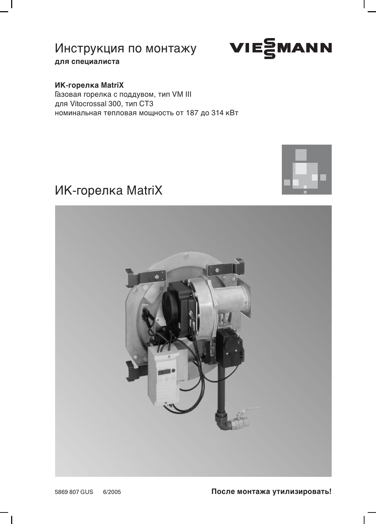

для специалиста

### ИК-горелка MatriX

Газовая горелка с поддувом, тип VM III для Vitocrossal 300, тип СТ3 номинальная тепловая мощность от 187 до 314 кВт

# ИК-горелка MatriX



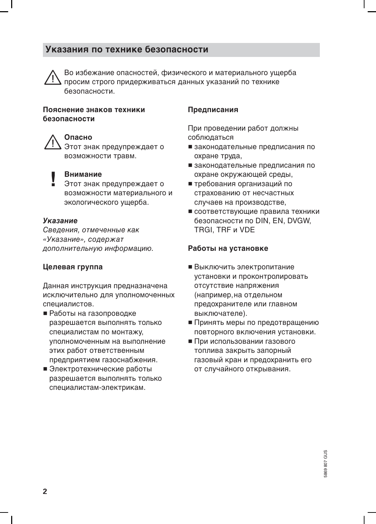# Указания по технике безопасности



Во избежание опасностей, физического и материального ущерба просим строго придерживаться данных указаний по технике безопасности.

#### Пояснение знаков техники безопасности

### Опасно

Этот знак предупреждает о возможности травм.

#### Внимание

Этот знак предупреждает о возможности материального и экологического ущерба.

#### Указание

Сведения, отмеченные как «Указание», содержат дополнительную информацию.

#### Целевая группа

Данная инструкция предназначена исключительно для уполномоченных специалистов.

- Работы на газопроводке разрешается выполнять только специалистам по монтажу, уполномоченным на выполнение этих работ ответственным предприятием газоснабжения.
- Электротехнические работы разрешается выполнять только специалистам-электрикам.

#### Предписания

При проведении работ должны соблюдаться

- законодательные предписания по охране труда,
- законодательные предписания по охране окружающей среды.
- требования организаций по страхованию от несчастных случаев на производстве,
- соответствующие правила техники безопасности по DIN, EN, DVGW, TRGI. TRF и VDE

#### Работы на установке

- Выключить электропитание установки и проконтролировать отсутствие напряжения (например, на отдельном предохранителе или главном выключателе).
- Принять меры по предотвращению повторного включения установки.
- При использовании газового топлива закрыть запорный газовый кран и предохранить его от случайного открывания.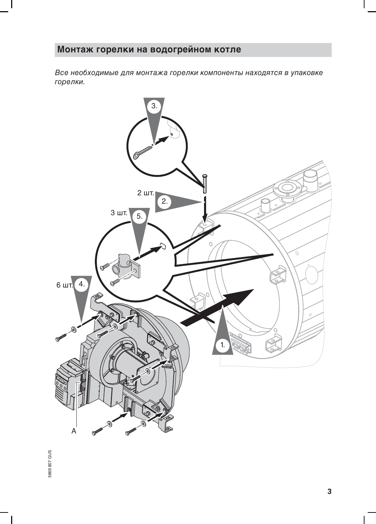# Монтаж горелки на водогрейном котле

Все необходимые для монтажа горелки компоненты находятся в упаковке горелки.



5869 807 GUS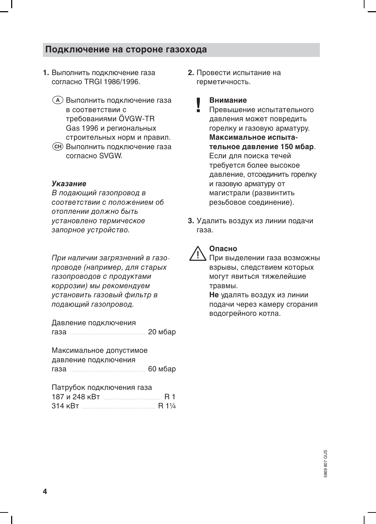### Подключение на стороне газохода

- 1. Выполнить подключение газа согласно TRGI 1986/1996
	- (А) Выполнить подключение газа в соответствии с требованиями ÖVGW-TR Gas 1996 и региональных строительных норм и правил.
	- СН) Выполнить подключение газа COLUSCHO SVGW

#### Указание

В подающий газопровод в соответствии с положением об отоплении должно быть установлено термическое запорное устройство.

При наличии загрязнений в газопроводе (например, для старых газопроводов с продуктами коррозии) мы рекомендуем установить газовый фильтр в подающий газопровод.

Давление подключения 

Максимальное допустимое давление подключения 

| Патрубок подключения газа |           |
|---------------------------|-----------|
|                           | <b>R1</b> |
|                           |           |

2. Провести испытание на герметичность.

#### Внимание

- Превышение испытательного давления может повредить горелку и газовую арматуру. Максимальное испытательное давление 150 мбар. Если для поиска течей требуется более высокое давление, отсоединить горелку и газовую арматуру от магистрали (развинтить резьбовое соединение).
- 3. Удалить воздух из линии подачи газа



### Опасно

При выделении газа возможны взрывы, следствием которых могут явиться тяжелейшие травмы.

Не удалять воздух из линии подачи через камеру сгорания водогрейного котла.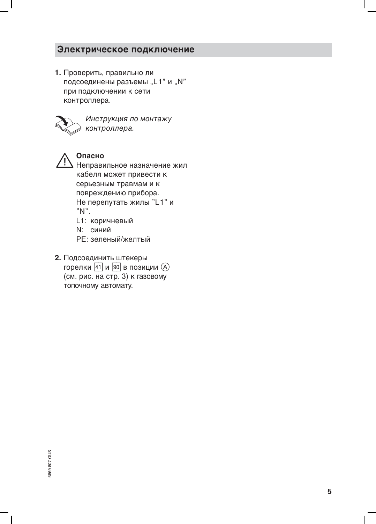# Электрическое подключение

1. Проверить, правильно ли подсоединены разъемы "L1" и "N" при подключении к сети контроллера.



Инструкция по монтажу контроллера.

# Опасно

Неправильное назначение жил кабеля может привести к серьезным травмам и к повреждению прибора. Не перепутать жилы "L1" и  $"N"$ . L1: коричневый

N: синий

РЕ: зеленый/желтый

2. Подсоединить штекеры горелки 41 и 90 в позиции (A) (см. рис. на стр. 3) к газовому топочному автомату.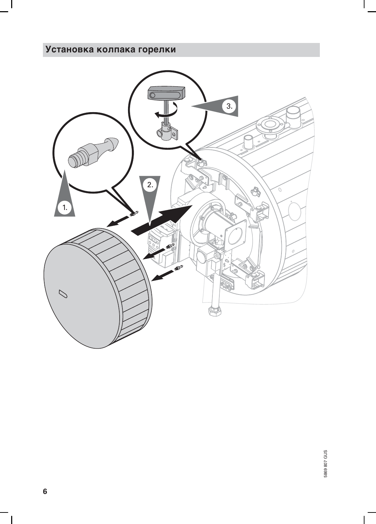# Установка колпака горелки



 $\mathbf{I}$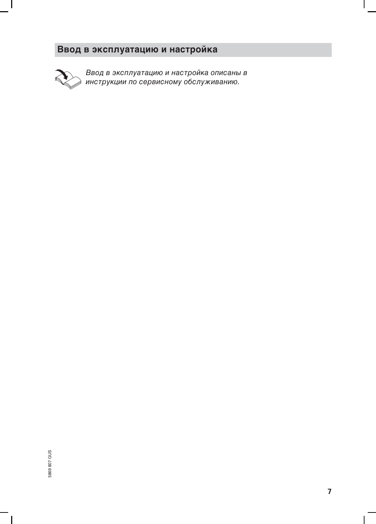# Ввод в эксплуатацию и настройка



Ввод в эксплуатацию и настройка описаны в<br>инструкции по сервисному обслуживанию.

 $\mathbf{I}$